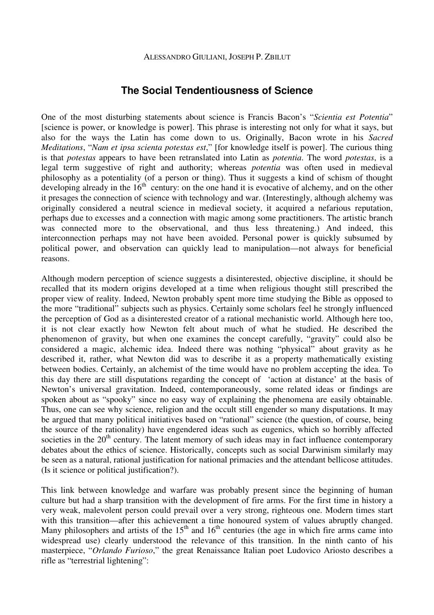## **The Social Tendentiousness of Science**

One of the most disturbing statements about science is Francis Bacon's "*Scientia est Potentia*" [science is power, or knowledge is power]. This phrase is interesting not only for what it says, but also for the ways the Latin has come down to us. Originally, Bacon wrote in his *Sacred Meditations*, "*Nam et ipsa scienta potestas est*," [for knowledge itself is power]. The curious thing is that *potestas* appears to have been retranslated into Latin as *potentia*. The word *potestas*, is a legal term suggestive of right and authority; whereas *potentia* was often used in medieval philosophy as a potentiality (of a person or thing). Thus it suggests a kind of schism of thought developing already in the  $16<sup>th</sup>$  century: on the one hand it is evocative of alchemy, and on the other it presages the connection of science with technology and war. (Interestingly, although alchemy was originally considered a neutral science in medieval society, it acquired a nefarious reputation, perhaps due to excesses and a connection with magic among some practitioners. The artistic branch was connected more to the observational, and thus less threatening.) And indeed, this interconnection perhaps may not have been avoided. Personal power is quickly subsumed by political power, and observation can quickly lead to manipulation—not always for beneficial reasons.

Although modern perception of science suggests a disinterested, objective discipline, it should be recalled that its modern origins developed at a time when religious thought still prescribed the proper view of reality. Indeed, Newton probably spent more time studying the Bible as opposed to the more "traditional" subjects such as physics. Certainly some scholars feel he strongly influenced the perception of God as a disinterested creator of a rational mechanistic world. Although here too, it is not clear exactly how Newton felt about much of what he studied. He described the phenomenon of gravity, but when one examines the concept carefully, "gravity" could also be considered a magic, alchemic idea. Indeed there was nothing "physical" about gravity as he described it, rather, what Newton did was to describe it as a property mathematically existing between bodies. Certainly, an alchemist of the time would have no problem accepting the idea. To this day there are still disputations regarding the concept of 'action at distance' at the basis of Newton's universal gravitation. Indeed, contemporaneously, some related ideas or findings are spoken about as "spooky" since no easy way of explaining the phenomena are easily obtainable. Thus, one can see why science, religion and the occult still engender so many disputations. It may be argued that many political initiatives based on "rational" science (the question, of course, being the source of the rationality) have engendered ideas such as eugenics, which so horribly affected societies in the  $20<sup>th</sup>$  century. The latent memory of such ideas may in fact influence contemporary debates about the ethics of science. Historically, concepts such as social Darwinism similarly may be seen as a natural, rational justification for national primacies and the attendant bellicose attitudes. (Is it science or political justification?).

This link between knowledge and warfare was probably present since the beginning of human culture but had a sharp transition with the development of fire arms. For the first time in history a very weak, malevolent person could prevail over a very strong, righteous one. Modern times start with this transition—after this achievement a time honoured system of values abruptly changed. Many philosophers and artists of the  $15<sup>th</sup>$  and  $16<sup>th</sup>$  centuries (the age in which fire arms came into widespread use) clearly understood the relevance of this transition. In the ninth canto of his masterpiece, "*Orlando Furioso*," the great Renaissance Italian poet Ludovico Ariosto describes a rifle as "terrestrial lightening":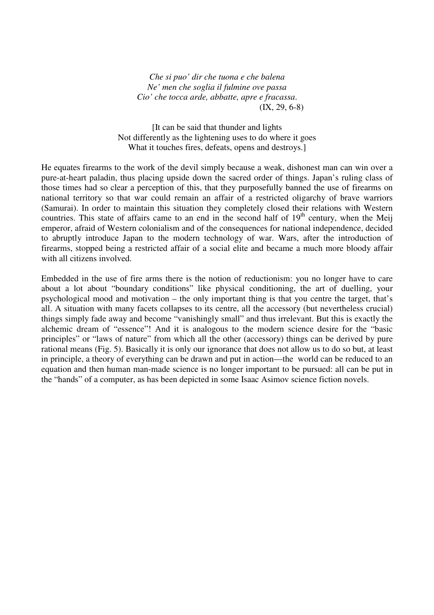*Che si puo' dir che tuona e che balena Ne' men che soglia il fulmine ove passa Cio' che tocca arde, abbatte, apre e fracassa*. (IX, 29, 6-8)

[It can be said that thunder and lights Not differently as the lightening uses to do where it goes What it touches fires, defeats, opens and destroys.]

He equates firearms to the work of the devil simply because a weak, dishonest man can win over a pure-at-heart paladin, thus placing upside down the sacred order of things. Japan's ruling class of those times had so clear a perception of this, that they purposefully banned the use of firearms on national territory so that war could remain an affair of a restricted oligarchy of brave warriors (Samurai). In order to maintain this situation they completely closed their relations with Western countries. This state of affairs came to an end in the second half of  $19<sup>th</sup>$  century, when the Meij emperor, afraid of Western colonialism and of the consequences for national independence, decided to abruptly introduce Japan to the modern technology of war. Wars, after the introduction of firearms, stopped being a restricted affair of a social elite and became a much more bloody affair with all citizens involved.

Embedded in the use of fire arms there is the notion of reductionism: you no longer have to care about a lot about "boundary conditions" like physical conditioning, the art of duelling, your psychological mood and motivation – the only important thing is that you centre the target, that's all. A situation with many facets collapses to its centre, all the accessory (but nevertheless crucial) things simply fade away and become "vanishingly small" and thus irrelevant. But this is exactly the alchemic dream of "essence"! And it is analogous to the modern science desire for the "basic principles" or "laws of nature" from which all the other (accessory) things can be derived by pure rational means (Fig. 5). Basically it is only our ignorance that does not allow us to do so but, at least in principle, a theory of everything can be drawn and put in action—the world can be reduced to an equation and then human man-made science is no longer important to be pursued: all can be put in the "hands" of a computer, as has been depicted in some Isaac Asimov science fiction novels.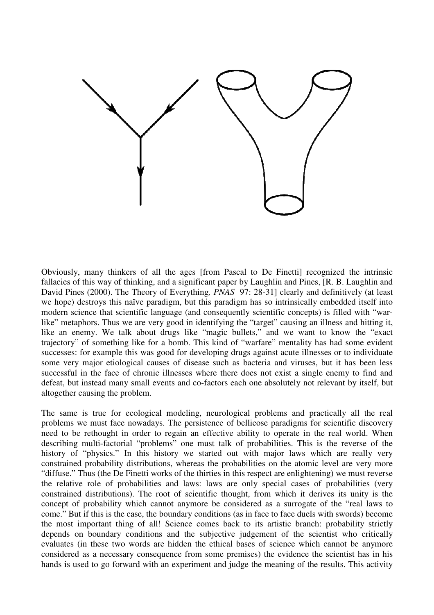

Obviously, many thinkers of all the ages [from Pascal to De Finetti] recognized the intrinsic fallacies of this way of thinking, and a significant paper by Laughlin and Pines, [R. B. Laughlin and David Pines (2000). The Theory of Everything*, PNAS* 97: 28-31] clearly and definitively (at least we hope) destroys this naïve paradigm, but this paradigm has so intrinsically embedded itself into modern science that scientific language (and consequently scientific concepts) is filled with "warlike" metaphors. Thus we are very good in identifying the "target" causing an illness and hitting it, like an enemy. We talk about drugs like "magic bullets," and we want to know the "exact trajectory" of something like for a bomb. This kind of "warfare" mentality has had some evident successes: for example this was good for developing drugs against acute illnesses or to individuate some very major etiological causes of disease such as bacteria and viruses, but it has been less successful in the face of chronic illnesses where there does not exist a single enemy to find and defeat, but instead many small events and co-factors each one absolutely not relevant by itself, but altogether causing the problem.

The same is true for ecological modeling, neurological problems and practically all the real problems we must face nowadays. The persistence of bellicose paradigms for scientific discovery need to be rethought in order to regain an effective ability to operate in the real world. When describing multi-factorial "problems" one must talk of probabilities. This is the reverse of the history of "physics." In this history we started out with major laws which are really very constrained probability distributions, whereas the probabilities on the atomic level are very more "diffuse." Thus (the De Finetti works of the thirties in this respect are enlightening) we must reverse the relative role of probabilities and laws: laws are only special cases of probabilities (very constrained distributions). The root of scientific thought, from which it derives its unity is the concept of probability which cannot anymore be considered as a surrogate of the "real laws to come." But if this is the case, the boundary conditions (as in face to face duels with swords) become the most important thing of all! Science comes back to its artistic branch: probability strictly depends on boundary conditions and the subjective judgement of the scientist who critically evaluates (in these two words are hidden the ethical bases of science which cannot be anymore considered as a necessary consequence from some premises) the evidence the scientist has in his hands is used to go forward with an experiment and judge the meaning of the results. This activity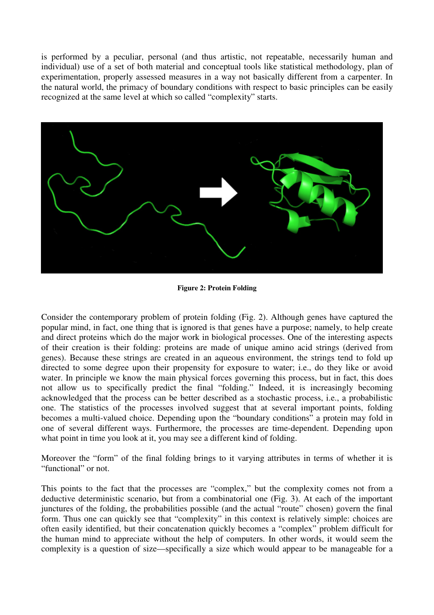is performed by a peculiar, personal (and thus artistic, not repeatable, necessarily human and individual) use of a set of both material and conceptual tools like statistical methodology, plan of experimentation, properly assessed measures in a way not basically different from a carpenter. In the natural world, the primacy of boundary conditions with respect to basic principles can be easily recognized at the same level at which so called "complexity" starts.



**Figure 2: Protein Folding** 

Consider the contemporary problem of protein folding (Fig. 2). Although genes have captured the popular mind, in fact, one thing that is ignored is that genes have a purpose; namely, to help create and direct proteins which do the major work in biological processes. One of the interesting aspects of their creation is their folding: proteins are made of unique amino acid strings (derived from genes). Because these strings are created in an aqueous environment, the strings tend to fold up directed to some degree upon their propensity for exposure to water; i.e., do they like or avoid water. In principle we know the main physical forces governing this process, but in fact, this does not allow us to specifically predict the final "folding." Indeed, it is increasingly becoming acknowledged that the process can be better described as a stochastic process, i.e., a probabilistic one. The statistics of the processes involved suggest that at several important points, folding becomes a multi-valued choice. Depending upon the "boundary conditions" a protein may fold in one of several different ways. Furthermore, the processes are time-dependent. Depending upon what point in time you look at it, you may see a different kind of folding.

Moreover the "form" of the final folding brings to it varying attributes in terms of whether it is "functional" or not.

This points to the fact that the processes are "complex," but the complexity comes not from a deductive deterministic scenario, but from a combinatorial one (Fig. 3). At each of the important junctures of the folding, the probabilities possible (and the actual "route" chosen) govern the final form. Thus one can quickly see that "complexity" in this context is relatively simple: choices are often easily identified, but their concatenation quickly becomes a "complex" problem difficult for the human mind to appreciate without the help of computers. In other words, it would seem the complexity is a question of size—specifically a size which would appear to be manageable for a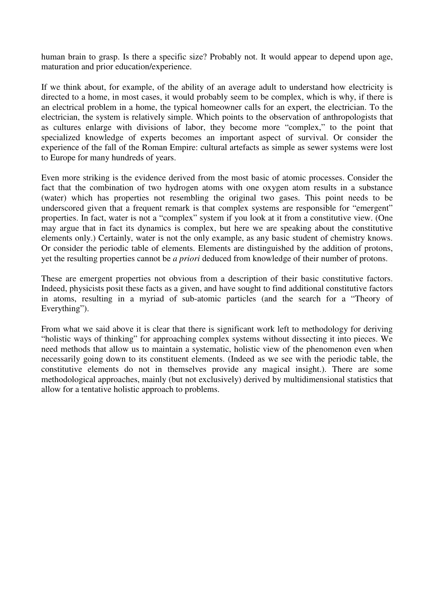human brain to grasp. Is there a specific size? Probably not. It would appear to depend upon age, maturation and prior education/experience.

If we think about, for example, of the ability of an average adult to understand how electricity is directed to a home, in most cases, it would probably seem to be complex, which is why, if there is an electrical problem in a home, the typical homeowner calls for an expert, the electrician. To the electrician, the system is relatively simple. Which points to the observation of anthropologists that as cultures enlarge with divisions of labor, they become more "complex," to the point that specialized knowledge of experts becomes an important aspect of survival. Or consider the experience of the fall of the Roman Empire: cultural artefacts as simple as sewer systems were lost to Europe for many hundreds of years.

Even more striking is the evidence derived from the most basic of atomic processes. Consider the fact that the combination of two hydrogen atoms with one oxygen atom results in a substance (water) which has properties not resembling the original two gases. This point needs to be underscored given that a frequent remark is that complex systems are responsible for "emergent" properties. In fact, water is not a "complex" system if you look at it from a constitutive view. (One may argue that in fact its dynamics is complex, but here we are speaking about the constitutive elements only.) Certainly, water is not the only example, as any basic student of chemistry knows. Or consider the periodic table of elements. Elements are distinguished by the addition of protons, yet the resulting properties cannot be *a priori* deduced from knowledge of their number of protons.

These are emergent properties not obvious from a description of their basic constitutive factors. Indeed, physicists posit these facts as a given, and have sought to find additional constitutive factors in atoms, resulting in a myriad of sub-atomic particles (and the search for a "Theory of Everything").

From what we said above it is clear that there is significant work left to methodology for deriving "holistic ways of thinking" for approaching complex systems without dissecting it into pieces. We need methods that allow us to maintain a systematic, holistic view of the phenomenon even when necessarily going down to its constituent elements. (Indeed as we see with the periodic table, the constitutive elements do not in themselves provide any magical insight.). There are some methodological approaches, mainly (but not exclusively) derived by multidimensional statistics that allow for a tentative holistic approach to problems.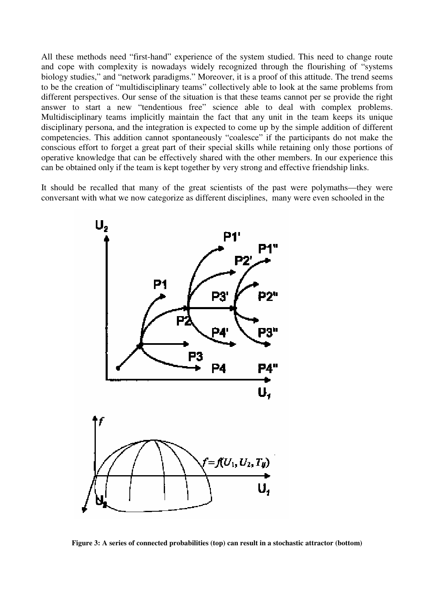All these methods need "first-hand" experience of the system studied. This need to change route and cope with complexity is nowadays widely recognized through the flourishing of "systems biology studies," and "network paradigms." Moreover, it is a proof of this attitude. The trend seems to be the creation of "multidisciplinary teams" collectively able to look at the same problems from different perspectives. Our sense of the situation is that these teams cannot per se provide the right answer to start a new "tendentious free" science able to deal with complex problems. Multidisciplinary teams implicitly maintain the fact that any unit in the team keeps its unique disciplinary persona, and the integration is expected to come up by the simple addition of different competencies. This addition cannot spontaneously "coalesce" if the participants do not make the conscious effort to forget a great part of their special skills while retaining only those portions of operative knowledge that can be effectively shared with the other members. In our experience this can be obtained only if the team is kept together by very strong and effective friendship links.

It should be recalled that many of the great scientists of the past were polymaths—they were conversant with what we now categorize as different disciplines, many were even schooled in the



**Figure 3: A series of connected probabilities (top) can result in a stochastic attractor (bottom)**